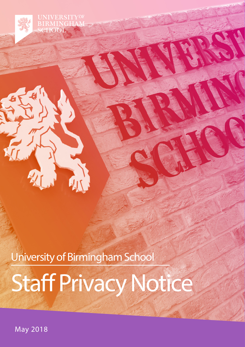**RMINGHA SCHOOL** 

University of Birmingham School

# Staff Privacy Notice

May 2018

2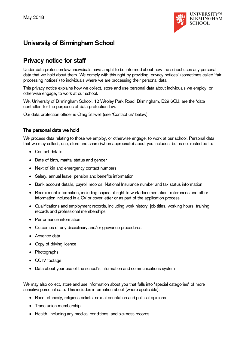

# **University of Birmingham School**

# **Privacy notice for staff**

Under data protection law, individuals have a right to be informed about how the school uses any personal data that we hold about them. We comply with this right by providing 'privacy notices' (sometimes called 'fair processing notices') to individuals where we are processing their personal data.

This privacy notice explains how we collect, store and use personal data about individuals we employ, or otherwise engage, to work at our school.

We, University of Birmingham School, 12 Weoley Park Road, Birmingham, B29 6QU, are the 'data controller' for the purposes of data protection law.

Our data protection officer is Craig Stilwell (see 'Contact us' below).

#### **The personal data we hold**

We process data relating to those we employ, or otherwise engage, to work at our school. Personal data that we may collect, use, store and share (when appropriate) about you includes, but is not restricted to:

- Contact details
- Date of birth, marital status and gender
- Next of kin and emergency contact numbers
- Salary, annual leave, pension and benefits information
- Bank account details, payroll records, National Insurance number and tax status information
- Recruitment information, including copies of right to work documentation, references and other information included in a CV or cover letter or as part of the application process
- Qualifications and employment records, including work history, job titles, working hours, training records and professional memberships
- Performance information
- Outcomes of any disciplinary and/or grievance procedures
- Absence data
- Copy of driving licence
- Photographs
- CCTV footage
- Data about your use of the school's information and communications system

We may also collect, store and use information about you that falls into "special categories" of more sensitive personal data. This includes information about (where applicable):

- Race, ethnicity, religious beliefs, sexual orientation and political opinions
- Trade union membership
- Health, including any medical conditions, and sickness records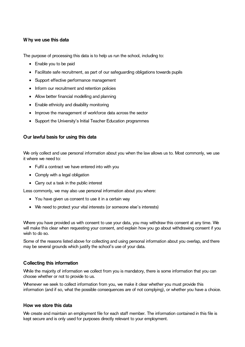#### **W hy we use this data**

The purpose of processing this data is to help us run the school, including to:

- Enable you to be paid
- Facilitate safe recruitment, as part of our safeguarding obligations towards pupils
- Support effective performance management
- Inform our recruitment and retention policies
- Allow better financial modelling and planning
- Enable ethnicity and disability monitoring
- Improve the management of workforce data across the sector
- Support the University's Initial Teacher Education programmes

#### **Our lawful basis for using this data**

We only collect and use personal information about you when the law allows us to. Most commonly, we use it where we need to:

- Fulfil a contract we have entered into with you
- Comply with a legal obligation
- Carry out a task in the public interest

Less commonly, we may also use personal information about you where:

- You have given us consent to use it in a certain way
- We need to protect your vital interests (or someone else's interests)

Where you have provided us with consent to use your data, you may withdraw this consent at any time. We will make this clear when requesting your consent, and explain how you go about withdrawing consent if you wish to do so.

Some of the reasons listed above for collecting and using personal information about you overlap, and there may be several grounds which justify the school's use of your data.

## **Collecting this information**

While the majority of information we collect from you is mandatory, there is some information that you can choose whether or not to provide to us.

Whenever we seek to collect information from you, we make it clear whether you must provide this information (and if so, what the possible consequences are of not complying), or whether you have a choice.

#### **How we store this data**

We create and maintain an employment file for each staff member. The information contained in this file is kept secure and is only used for purposes directly relevant to your employment.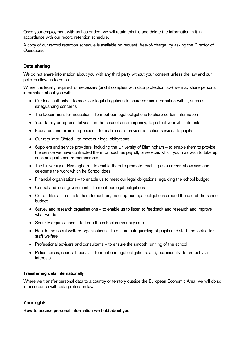Once your employment with us has ended, we will retain this file and delete the information in it in accordance with our record retention schedule.

A copy of our record retention schedule is available on request, free-of-charge, by asking the Director of Operations.

### **Data sharing**

We do not share information about you with any third party without your consent unless the law and our policies allow us to do so.

Where it is legally required, or necessary (and it complies with data protection law) we may share personal information about you with:

- Our local authority to meet our legal obligations to share certain information with it, such as safeguarding concerns
- The Department for Education to meet our legal obligations to share certain information
- Your family or representatives in the case of an emergency, to protect your vital interests
- Educators and examining bodies to enable us to provide education services to pupils
- Our regulator Ofsted to meet our legal obligations
- Suppliers and service providers, including the University of Birmingham to enable them to provide the service we have contracted them for, such as payroll, or services which you may wish to take up, such as sports centre membership
- The University of Birmingham to enable them to promote teaching as a career, showcase and celebrate the work which he School does
- Financial organisations to enable us to meet our legal obligations regarding the school budget
- Central and local government to meet our legal obligations
- Our auditors to enable them to audit us, meeting our legal obligations around the use of the school budget
- Survey and research organisations to enable us to listen to feedback and research and improve what we do
- Security organisations to keep the school community safe
- Health and social welfare organisations to ensure safeguarding of pupils and staff and look after staff welfare
- Professional advisers and consultants to ensure the smooth running of the school
- Police forces, courts, tribunals to meet our legal obligations, and, occasionally, to protect vital interests

#### **Transferring data internationally**

Where we transfer personal data to a country or territory outside the European Economic Area, we will do so in accordance with data protection law.

#### **Your rights**

**How to access personal information we hold about you**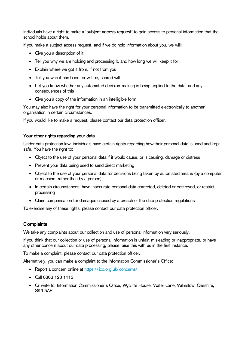Individuals have a right to make a **'subject access request'** to gain access to personal information that the school holds about them.

If you make a subject access request, and if we do hold information about you, we will:

- Give you a description of it
- Tell you why we are holding and processing it, and how long we will keep it for
- Explain where we got it from, if not from you
- Tell you who it has been, or will be, shared with
- Let you know whether any automated decision-making is being applied to the data, and any consequences of this
- Give you a copy of the information in an intelligible form

You may also have the right for your personal information to be transmitted electronically to another organisation in certain circumstances.

If you would like to make a request, please contact our data protection officer.

#### **Your other rights regarding your data**

Under data protection law, individuals have certain rights regarding how their personal data is used and kept safe. You have the right to:

- Object to the use of your personal data if it would cause, or is causing, damage or distress
- Prevent your data being used to send direct marketing
- Object to the use of your personal data for decisions being taken by automated means (by a computer or machine, rather than by a person)
- In certain circumstances, have inaccurate personal data corrected, deleted or destroyed, or restrict processing
- Claim compensation for damages caused by a breach of the data protection regulations

To exercise any of these rights, please contact our data protection officer.

#### **Complaints**

We take any complaints about our collection and use of personal information very seriously.

If you think that our collection or use of personal information is unfair, misleading or inappropriate, or have any other concern about our data processing, please raise this with us in the first instance.

To make a complaint, please contact our data protection officer.

Alternatively, you can make a complaint to the Information Commissioner's Office:

- Report a concern online at<https://ico.org.uk/concerns/>
- Call 0303 123 1113
- Or write to: Information Commissioner's Office, Wycliffe House, Water Lane, Wilmslow, Cheshire, SK9 5AF